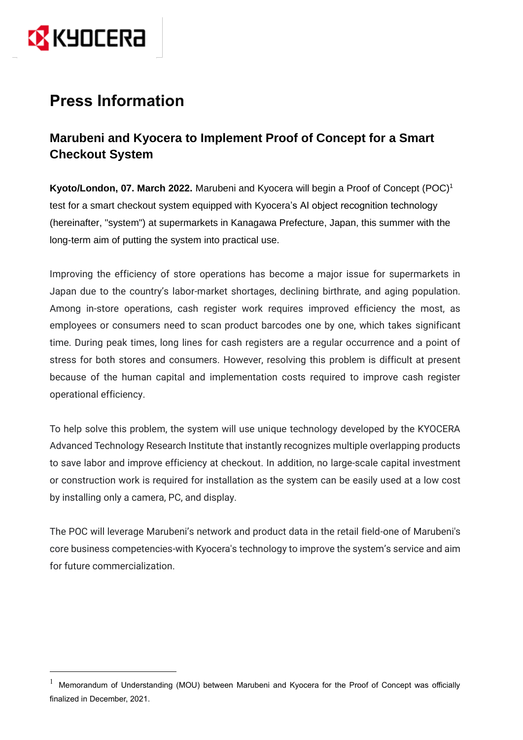

# **Press Information**

# **Marubeni and Kyocera to Implement Proof of Concept for a Smart Checkout System**

**Kyoto/London, 07. March 2022.** Marubeni and Kyocera will begin a Proof of Concept (POC)<sup>1</sup> test for a smart checkout system equipped with Kyocera's AI object recognition technology (hereinafter, "system") at supermarkets in Kanagawa Prefecture, Japan, this summer with the long-term aim of putting the system into practical use.

Improving the efficiency of store operations has become a major issue for supermarkets in Japan due to the country's labor-market shortages, declining birthrate, and aging population. Among in-store operations, cash register work requires improved efficiency the most, as employees or consumers need to scan product barcodes one by one, which takes significant time. During peak times, long lines for cash registers are a regular occurrence and a point of stress for both stores and consumers. However, resolving this problem is difficult at present because of the human capital and implementation costs required to improve cash register operational efficiency.

To help solve this problem, the system will use unique technology developed by the KYOCERA Advanced Technology Research Institute that instantly recognizes multiple overlapping products to save labor and improve efficiency at checkout. In addition, no large-scale capital investment or construction work is required for installation as the system can be easily used at a low cost by installing only a camera, PC, and display.

The POC will leverage Marubeni's network and product data in the retail field-one of Marubeni's core business competencies-with Kyocera's technology to improve the system's service and aim for future commercialization.

<sup>&</sup>lt;sup>1</sup> Memorandum of Understanding (MOU) between Marubeni and Kyocera for the Proof of Concept was officially finalized in December, 2021.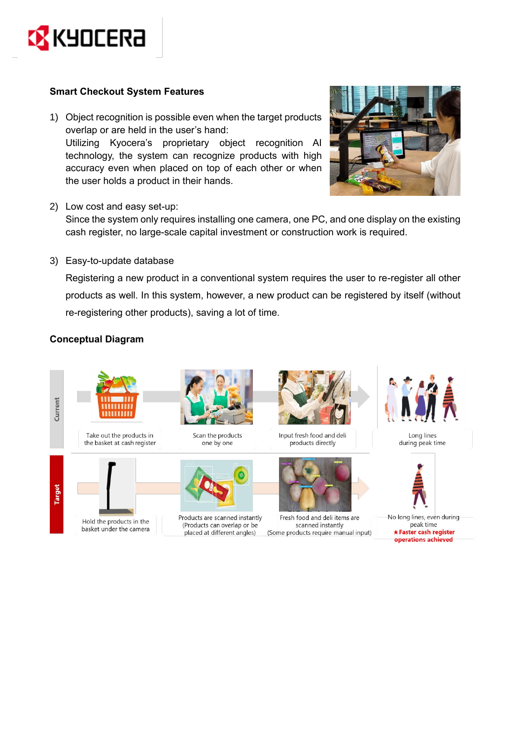

### **Smart Checkout System Features**

- 1) Object recognition is possible even when the target products overlap or are held in the user's hand: Utilizing Kyocera's proprietary object recognition AI technology, the system can recognize products with high accuracy even when placed on top of each other or when the user holds a product in their hands.
- 2) Low cost and easy set-up:



Since the system only requires installing one camera, one PC, and one display on the existing cash register, no large-scale capital investment or construction work is required.

3) Easy-to-update database

Registering a new product in a conventional system requires the user to re-register all other products as well. In this system, however, a new product can be registered by itself (without re-registering other products), saving a lot of time.

## **Conceptual Diagram**



Take out the products in the basket at cash register

Hold the products in the

basket under the camera









Products are scanned instantly (Products can overlap or be placed at different angles)



Input fresh food and deli products directly



Fresh food and deli items are scanned instantly (Some products require manual input)



Long lines during peak time



No long lines, even during peak time \* Faster cash register operations achieved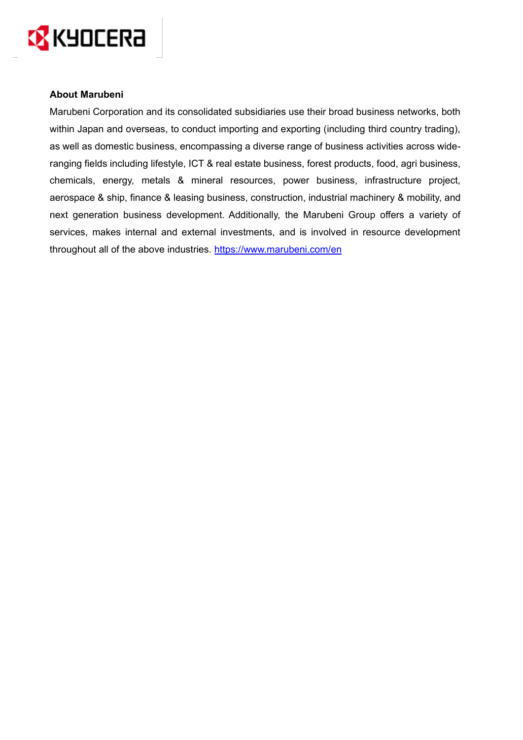

#### **About Marubeni**

Marubeni Corporation and its consolidated subsidiaries use their broad business networks, both within Japan and overseas, to conduct importing and exporting (including third country trading), as well as domestic business, encompassing a diverse range of business activities across wideranging fields including lifestyle, ICT & real estate business, forest products, food, agri business, chemicals, energy, metals & mineral resources, power business, infrastructure project, aerospace & ship, finance & leasing business, construction, industrial machinery & mobility, and next generation business development. Additionally, the Marubeni Group offers a variety of services, makes internal and external investments, and is involved in resource development throughout all of the above industries. <https://www.marubeni.com/en>